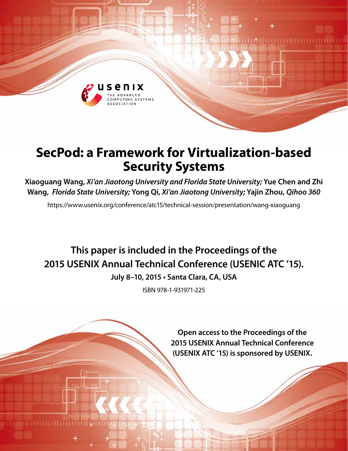

# **SecPod: a Framework for Virtualization-based Security Systems**

**Xiaoguang Wang,** *Xi'an Jiaotong University and Florida State University;* **Yue Chen and Zhi Wang,** *Florida State University;* **Yong Qi,** *Xi'an Jiaotong University;* **Yajin Zhou,** *Qihoo 360* 

https://www.usenix.org/conference/atc15/technical-session/presentation/wang-xiaoguang

**This paper is included in the Proceedings of the 2015 USENIX Annual Technical Conference (USENIC ATC '15).**

**July 8–10, 2015 • Santa Clara, CA, USA**

ISBN 978-1-931971-225

**Open access to the Proceedings of the 2015 USENIX Annual Technical Conference (USENIX ATC '15) is sponsored by USENIX.**

1 M II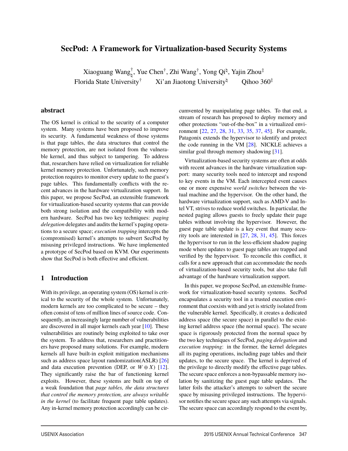# **SecPod: A Framework for Virtualization-based Security Systems**

Xiaoguang Wang $^{\dagger}_{\natural}$ , Yue Chen $^{\dagger}$ , Zhi Wang $^{\dagger}$ , Yong Qi $^{\natural}$ , Yajin Zhou $^{\ddagger}$ Florida State University<sup>†</sup> Xi'an Jiaotong University<sup>†</sup> Qihoo 360<sup>‡</sup>

#### **abstract**

The OS kernel is critical to the security of a computer system. Many systems have been proposed to improve its security. A fundamental weakness of those systems is that page tables, the data structures that control the memory protection, are not isolated from the vulnerable kernel, and thus subject to tampering. To address that, researchers have relied on virtualization for reliable kernel memory protection. Unfortunately, such memory protection requires to monitor every update to the guest's page tables. This fundamentally conflicts with the recent advances in the hardware virtualization support. In this paper, we propose SecPod, an extensible framework for virtualization-based security systems that can provide both strong isolation and the compatibility with modern hardware. SecPod has two key techniques: *paging delegation* delegates and audits the kernel's paging operations to a secure space; *execution trapping* intercepts the (compromised) kernel's attempts to subvert SecPod by misusing privileged instructions. We have implemented a prototype of SecPod based on KVM. Our experiments show that SecPod is both effective and efficient.

### **1 Introduction**

With its privilege, an operating system (OS) kernel is critical to the security of the whole system. Unfortunately, modern kernels are too complicated to be secure – they often consist of tens of million lines of source code. Consequently, an increasingly large number of vulnerabilities are discovered in all major kernels each year [10]. These vulnerabilities are routinely being exploited to take over the system. To address that, researchers and practitioners have proposed many solutions. For example, modern kernels all have built-in exploit mitigation mechanisms such as address space layout randomization(ASLR) [26] and data execution prevention (DEP, or  $W \oplus X$ ) [12]. They significantly raise the bar of functioning kernel exploits. However, these systems are built on top of a weak foundation that *page tables, the data structures that control the memory protection, are always writable in the kernel* (to facilitate frequent page table updates). Any in-kernel memory protection accordingly can be circumvented by manipulating page tables. To that end, a stream of research has proposed to deploy memory and other protections "out-of-the-box" in a virtualized environment [22, 27, 28, 31, 33, 35, 37, 45]. For example, Patagonix extends the hypervisor to identify and protect the code running in the VM [28]. NICKLE achieves a similar goal through memory shadowing [31].

Virtualization-based security systems are often at odds with recent advances in the hardware virtualization support: many security tools need to intercept and respond to key events in the VM. Each intercepted event causes one or more expensive *world switches* between the virtual machine and the hypervisor. On the other hand, the hardware virtualization support, such as AMD-V and Intel VT, strives to reduce world switches. In particular, the nested paging allows guests to freely update their page tables without involving the hypervisor. However, the guest page table update is a key event that many security tools are interested in [27, 28, 31, 45]. This forces the hypervisor to run in the less-efficient shadow paging mode where updates to guest page tables are trapped and verified by the hypervisor. To reconcile this conflict, it calls for a new approach that can accommodate the needs of virtualization-based security tools, but also take full advantage of the hardware virtualization support.

In this paper, we propose SecPod, an extensible framework for virtualization-based security systems. SecPod encapsulates a security tool in a trusted execution environment that coexists with and yet is strictly isolated from the vulnerable kernel. Specifically, it creates a dedicated address space (the secure space) in parallel to the existing kernel address space (the normal space). The secure space is rigorously protected from the normal space by the two key techniques of SecPod, *paging delegation* and *execution trapping*: in the former, the kernel delegates all its paging operations, including page tables and their updates, to the secure space. The kernel is deprived of the privilege to directly modify the effective page tables. The secure space enforces a non-bypassable memory isolation by sanitizing the guest page table updates. The latter foils the attacker's attempts to subvert the secure space by misusing privileged instructions. The hypervisor notifies the secure space any such attempts via signals. The secure space can accordingly respond to the event by,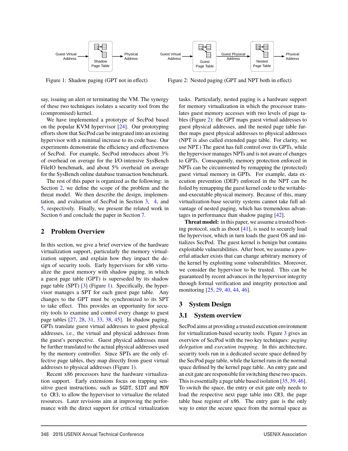

Figure 1: Shadow paging (GPT not in effect)

Figure 2: Nested paging (GPT and NPT both in effect)

say, issuing an alert or terminating the VM. The synergy of these two techniques isolates a security tool from the (compromised) kernel.

We have implemented a prototype of SecPod based on the popular KVM hypervisor [24]. Our prototyping efforts show that SecPod can be integrated into an existing hypervisor with a minimal increase to its code base. Our experiments demonstrate the efficiency and effectiveness of SecPod. For example, SecPod introduces about 3% of overhead on average for the I/O-intensive SysBench FileIO benchmark, and about 5% overhead on average for the SysBench online database transaction benchmark.

The rest of this paper is organized as the following: in Section 2, we define the scope of the problem and the threat model. We then describe the design, implementation, and evaluation of SecPod in Section 3, 4, and 5, respectively. Finally, we present the related work in Section 6 and conclude the paper in Section 7.

## **2 Problem Overview**

In this section, we give a brief overview of the hardware virtualization support, particularly the memory virtualization support, and explain how they impact the design of security tools. Early hypervisors for x86 virtualize the guest memory with shadow paging, in which a guest page table (GPT) is superseded by its shadow page table (SPT) [3] (Figure 1). Specifically, the hypervisor manages a SPT for each guest page table. Any changes to the GPT must be synchronized to its SPT to take effect. This provides an opportunity for security tools to examine and control every change to guest page tables [27, 28, 31, 33, 38, 45]. In shadow paging, GPTs translate guest virtual addresses to guest physical addresses, i.e., the virtual and physical addresses from the guest's perspective. Guest physical addresses must be further translated to the actual physical addresses used by the memory controller. Since SPTs are the only effective page tables, they map directly from guest virtual addresses to physical addresses (Figure 1).

Recent x86 processors have the hardware virtualization support. Early extensions focus on trapping sensitive guest instructions, such as SGDT, SIDT and MOV to CR3, to allow the hypervisor to virtualize the related resources. Later revisions aim at improving the performance with the direct support for critical virtualization tasks. Particularly, nested paging is a hardware support for memory virtualization in which the processor translates guest memory accesses with two levels of page tables (Figure 2): the GPT maps guest virtual addresses to guest physical addresses, and the nested page table further maps guest physical addresses to physical addresses (NPT is also called extended page table. For clarity, we use NPT.) The guest has full control over its GPTs, while the hypervisor manages NPTs and is not aware of changes to GPTs. Consequently, memory protection enforced in NPTs can be circumvented by remapping the (protected) guest virtual memory in GPTs. For example, data execution prevention (DEP) enforced in the NPT can be foiled by remapping the guest kernel code to the writableand-executable physical memory. Because of this, many virtualization-base security systems cannot take full advantage of nested paging, which has tremendous advantages in performance than shadow paging [42].

**Threat model:** in this paper, we assume a trusted booting protocol, such as tboot [41], is used to securely load the hypervisor, which in turn loads the guest OS and initializes SecPod. The guest kernel is benign but contains exploitable vulnerabilities. After boot, we assume a powerful attacker exists that can change arbitrary memory of the kernel by exploiting some vulnerabilities. Moreover, we consider the hypervisor to be trusted. This can be guaranteed by recent advances in the hypervisor integrity through formal verification and integrity protection and monitoring [25, 29, 40, 44, 46].

# **3 System Design**

# **3.1 System overview**

SecPod aims at providing a trusted execution environment for virtualization-based security tools. Figure 3 gives an overview of SecPod with the two key techniques: *paging delegation* and *execution trapping*. In this architecture, security tools run in a dedicated secure space defined by the SecPod page table, while the kernel runs in the normal space defined by the kernel page table. An entry gate and an exit gate are responsible for switching these two spaces. This is essentially a page table based isolation [35, 39, 46]. To switch the space, the entry or exit gate only needs to load the respective next page table into CR3, the page table base register of x86. The entry gate is the only way to enter the secure space from the normal space as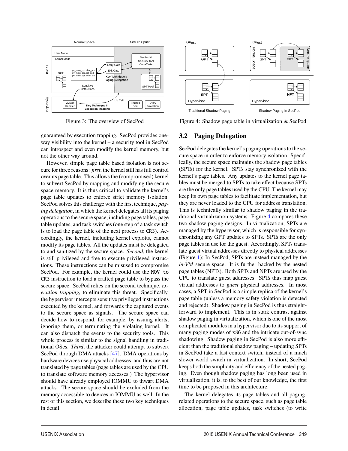

Figure 3: The overview of SecPod

guaranteed by execution trapping. SecPod provides oneway visibility into the kernel – a security tool in SecPod can introspect and even modify the kernel memory, but not the other way around.

However, simple page table based isolation is not secure for three reasons: *first*, the kernel still has full control over its page table. This allows the (compromised) kernel to subvert SecPod by mapping and modifying the secure space memory. It is thus critical to validate the kernel's page table updates to enforce strict memory isolation. SecPod solves this challenge with the first technique, *paging delegation*, in which the kernel delegates all its paging operations to the secure space, including page tables, page table updates, and task switches (one step of a task switch is to load the page table of the next process to CR3). Accordingly, the kernel, including kernel exploits, cannot modify its page tables. All the updates must be delegated to and sanitized by the secure space. *Second*, the kernel is still privileged and free to execute privileged instructions. These instructions can be misused to compromise SecPod. For example, the kernel could use the MOV to CR3 instruction to load a crafted page table to bypass the secure space. SecPod relies on the second technique, *execution trapping*, to eliminate this threat. Specifically, the hypervisor intercepts sensitive privileged instructions executed by the kernel, and forwards the captured events to the secure space as signals. The secure space can decide how to respond, for example, by issuing alerts, ignoring them, or terminating the violating kernel. It can also dispatch the events to the security tools. This whole process is similar to the signal handling in traditional OSes. *Third*, the attacker could attempt to subvert SecPod through DMA attacks [47]. DMA operations by hardware devices use physical addresses, and thus are not translated by page tables (page tables are used by the CPU to translate software memory accesses.) The hypervisor should have already employed IOMMU to thwart DMA attacks. The secure space should be excluded from the memory accessible to devices in IOMMU as well. In the rest of this section, we describe these two key techniques in detail.



Figure 4: Shadow page table in virtualization & SecPod

## **3.2 Paging Delegation**

SecPod delegates the kernel's paging operations to the secure space in order to enforce memory isolation. Specifically, the secure space maintains the shadow page tables (SPTs) for the kernel. SPTs stay synchronized with the kernel's page tables. Any updates to the kernel page tables must be merged to SPTs to take effect because SPTs are the only page tables used by the CPU. The kernel may keep its own page tables to facilitate implementation, but they are never loaded to the CPU for address translation. This is technically similar to shadow paging in the traditional virtualization systems. Figure 4 compares these two shadow paging designs. In virtualization, SPTs are managed by the hypervisor, which is responsible for synchronizing any GPT updates to SPTs. SPTs are the only page tables in use for the guest. Accordingly, SPTs translate guest virtual addresses directly to physical addresses (Figure 1); In SecPod, SPTs are instead managed by the *in-VM* secure space. It is further backed by the nested page tables (NPTs). Both SPTs and NPTs are used by the CPU to translate guest addresses. SPTs thus map guest virtual addresses to *guest* physical addresses. In most cases, a SPT in SecPod is a simple replica of the kernel's page table (unless a memory safety violation is detected and rejected). Shadow paging in SecPod is thus straightforward to implement. This is in stark contrast against shadow paging in virtualization, which is one of the most complicated modules in a hypervisor due to its support of many paging modes of x86 and the intricate out-of-sync shadowing. Shadow paging in SecPod is also more efficient than the traditional shadow paging – updating SPTs in SecPod take a fast context switch, instead of a much slower world switch in virtualization. In short, SecPod keeps both the simplicity and efficiency of the nested paging. Even though shadow paging has long been used in virtualization, it is, to the best of our knowledge, the first time to be proposed in this architecture.

The kernel delegates its page tables and all pagingrelated operations to the secure space, such as page table allocation, page table updates, task switches (to write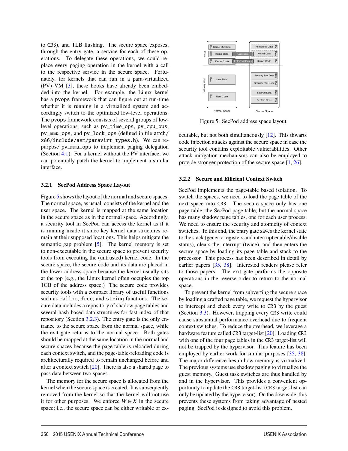to CR3), and TLB flushing. The secure space exposes, through the entry gate, a service for each of these operations. To delegate these operations, we could replace every paging operation in the kernel with a call to the respective service in the secure space. Fortunately, for kernels that can run in a para-virtualized (PV) VM [3], these hooks have already been embedded into the kernel. For example, the Linux kernel has a pvops framework that can figure out at run-time whether it is running in a virtualized system and accordingly switch to the optimized low-level operations. The pvops framework consists of several groups of lowlevel operations, such as pv\_time\_ops, pv\_cpu\_ops, pv\_mmu\_ops, and pv\_lock\_ops (defined in file arch/ x86/include/asm/paravirt\_types.h). We can repurpose pv\_mmu\_ops to implement paging delegation (Section 4.1). For a kernel without the PV interface, we can potentially patch the kernel to implement a similar interface.

#### **3.2.1 SecPod Address Space Layout**

Figure 5 shows the layout of the normal and secure spaces. The normal space, as usual, consists of the kernel and the user space. The kernel is mapped at the same location in the secure space as in the normal space. Accordingly, a security tool in SecPod can access the kernel as if it is running inside it since key kernel data structures remain at their supposed locations. This helps mitigate the semantic gap problem [5]. The kernel memory is set to non-executable in the secure space to prevent security tools from executing the (untrusted) kernel code. In the secure space, the secure code and its data are placed in the lower address space because the kernel usually sits at the top (e.g., the Linux kernel often occupies the top 1GB of the address space.) The secure code provides security tools with a compact library of useful functions such as malloc, free, and string functions. The secure data includes a repository of shadow page tables and several hash-based data structures for fast index of that repository (Section 3.2.3). The entry gate is the only entrance to the secure space from the normal space, while the exit gate returns to the normal space. Both gates should be mapped at the same location in the normal and secure spaces because the page table is reloaded during each context switch, and the page-table-reloading code is architecturally required to remain unchanged before and after a context switch [20]. There is also a shared page to pass data between two spaces.

The memory for the secure space is allocated from the kernel when the secure space is created. It is subsequently removed from the kernel so that the kernel will not use it for other purposes. We enforce  $W \oplus X$  in the secure space; i.e., the secure space can be either writable or ex-



Figure 5: SecPod address space layout

ecutable, but not both simultaneously [12]. This thwarts code injection attacks against the secure space in case the security tool contains exploitable vulnerabilities. Other attack mitigation mechanisms can also be employed to provide stronger protection of the secure space [1, 26].

#### **3.2.2 Secure and Efficient Context Switch**

SecPod implements the page-table based isolation. To switch the spaces, we need to load the page table of the next space into CR3. The secure space only has one page table, the SecPod page table, but the normal space has many shadow page tables, one for each user process. We need to ensure the security and atomicity of context switches. To this end, the entry gate saves the kernel state to the stack (generic registers and interrupt enable/disable status), clears the interrupt (twice), and then enters the secure space by loading its page table and stack to the processor. This process has been described in detail by earlier papers [35, 38]. Interested readers please refer to those papers. The exit gate performs the opposite operations in the reverse order to return to the normal space.

To prevent the kernel from subverting the secure space by loading a crafted page table, we request the hypervisor to intercept and check every write to CR3 by the guest (Section 3.3). However, trapping every CR3 write could cause substantial performance overhead due to frequent context switches. To reduce the overhead, we leverage a hardware feature called CR3 target-list [20]. Loading CR3 with one of the four page tables in the CR3 target-list will not be trapped by the hypervisor. This feature has been employed by earlier work for similar purposes [35, 38]. The major difference lies in how memory is virtualized. The previous systems use shadow paging to virtualize the guest memory. Guest task switches are thus handled by and in the hypervisor. This provides a convenient opportunity to update the CR3 target-list (CR3 target-list can only be updated by the hypervisor). On the downside, this prevents these systems from taking advantage of nested paging. SecPod is designed to avoid this problem.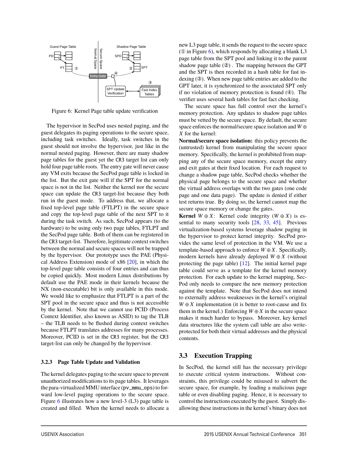

Figure 6: Kernel Page table update verification

The hypervisor in SecPod uses nested paging, and the guest delegates its paging operations to the secure space, including task switches. Ideally, task switches in the guest should not involve the hypervisor, just like in the normal nested paging. However, there are many shadow page tables for the guest yet the CR3 target list can only hold four page table roots. The entry gate will never cause any VM exits because the SecPod page table is locked in the list. But the exit gate will if the SPT for the normal space is not in the list. Neither the kernel nor the secure space can update the CR3 target-list because they both run in the guest mode. To address that, we allocate a fixed top-level page table (FTLPT) in the secure space and copy the top-level page table of the next SPT to it during the task switch. As such, SecPod appears (to the hardware) to be using only two page tables, FTLPT and the SecPod page table. Both of them can be registered in the CR3 target-list. Therefore, legitimate context switches between the normal and secure spaces will not be trapped by the hypervisor. Our prototype uses the PAE (Physical Address Extension) mode of x86 [20], in which the top-level page table consists of four entries and can thus be copied quickly. Most modern Linux distributions by default use the PAE mode in their kernels because the NX (non-executable) bit is only available in this mode. We would like to emphasize that FTLPT is a part of the SPT pool in the secure space and thus is not accessible by the kernel. Note that we cannot use PCID (Process Context Identifier, also known as ASID) to tag the TLB – the TLB needs to be flushed during context switches because FTLPT translates addresses for many processes. Moreover, PCID is set in the CR3 register, but the CR3 target-list can only be changed by the hypervisor.

#### **3.2.3 Page Table Update and Validation**

The kernel delegates paging to the secure space to prevent unauthorized modifications to its page tables. It leverages the para-virtualized MMU interface (pv\_mmu\_ops) to forward low-level paging operations to the secure space. Figure 6 illustrates how a new level-3 (L3) page table is created and filled. When the kernel needs to allocate a new L3 page table, it sends the request to the secure space ( $\Omega$  in Figure 6), which responds by allocating a blank L3 page table from the SPT pool and linking it to the parent shadow page table (②) . The mapping between the GPT and the SPT is then recorded in a hash table for fast indexing (③). When new page table entries are added to the GPT later, it is synchronized to the associated SPT only if no violation of memory protection is found  $(\Phi)$ . The verifier uses several hash tables for fast fact checking.

The secure space has full control over the kernel's memory protection. Any updates to shadow page tables must be vetted by the secure space. By default, the secure space enforces the normal/secure space isolation and *W* ⊕ *X* for the kernel:

**Normal/secure space isolation:** this policy prevents the (untrusted) kernel from manipulating the secure space memory. Specifically, the kernel is prohibited from mapping any of the secure space memory, except the entry and exit gates at their fixed location. For each request to change a shadow page table, SecPod checks whether the physical page belongs to the secure space and whether the virtual address overlaps with the two gates (one code page and one data page). The update is denied if either test returns true. By doing so, the kernel cannot map the secure space memory or change the gates.

**Kernel**  $W \oplus X$ : Kernel code integrity  $(W \oplus X)$  is essential to many security tools [28, 33, 45]. Previous virtualization-based systems leverage shadow paging in the hypervisor to protect kernel integrity. SecPod provides the same level of protection in the VM. We use a template-based approach to enforce  $W \oplus X$ . Specifically, modern kernels have already deployed  $W \oplus X$  (without protecting the page table)  $[12]$ . The initial kernel page table could serve as a template for the kernel memory protection. For each update to the kernel mapping, Sec-Pod only needs to compare the new memory protection against the template. Note that SecPod does not intend to externally address weaknesses in the kernel's original  $W \oplus X$  implementation (it is better to root-cause and fix them in the kernel.) Enforcing  $W \oplus X$  in the secure space makes it much harder to bypass. Moreover, key kernel data structures like the system call table are also writeprotected for both their virtual addresses and the physical contents.

## **3.3 Execution Trapping**

In SecPod, the kernel still has the necessary privilege to execute critical system instructions. Without constraints, this privilege could be misused to subvert the secure space, for example, by loading a malicious page table or even disabling paging. Hence, it is necessary to control the instructions executed by the guest. Simply disallowing these instructions in the kernel's binary does not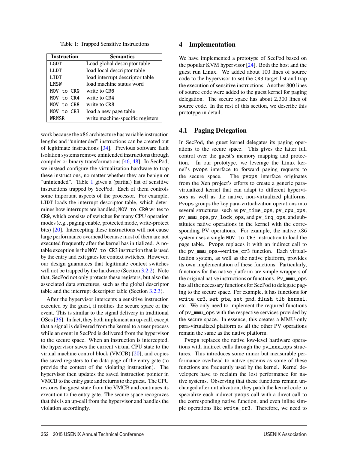Table 1: Trapped Sensitive Instructions

| <b>Instruction</b> | <b>Semantics</b>                 |
|--------------------|----------------------------------|
| <b>LGDT</b>        | Load global descriptor table     |
| LLDT               | load local descriptor table      |
| <b>LIDT</b>        | load interrupt descriptor table  |
| LMSW               | load machine status word         |
| MOV to CRO         | write to CR <sub>0</sub>         |
| MOV to CR4         | write to CR4                     |
| MOV to CR8         | write to CR8                     |
| MOV to CR3         | load a new page table            |
| WRMSR              | write machine-specific registers |

work because the x86 architecture has variable instruction lengths and "unintended" instructions can be created out of legitimate instructions [34]. Previous software fault isolation systems remove unintended instructions through compiler or binary transformations [46, 48]. In SecPod, we instead configure the virtualization hardware to trap these instructions, no matter whether they are benign or "unintended". Table 1 gives a (partial) list of sensitive instructions trapped by SecPod. Each of them controls some important aspects of the processor. For example, LIDT loads the interrupt descriptor table, which determines how interrupts are handled; MOV to CR0 writes to CR0, which consists of switches for many CPU operation modes (e.g., paging enable, protected mode, write-protect bits) [20]. Intercepting these instructions will not cause large performance overhead because most of them are not executed frequently after the kernel has initialized. A notable exception is the MOV to CR3 instruction that is used by the entry and exit gates for context switches. However, our design guarantees that legitimate context switches will not be trapped by the hardware (Section 3.2.2). Note that, SecPod not only protects these registers, but also the associated data structures, such as the global descriptor table and the interrupt descriptor table (Section 3.2.3).

After the hypervisor intercepts a sensitive instruction executed by the guest, it notifies the secure space of the event. This is similar to the signal delivery in traditional OSes [36]. In fact, they both implement an up-call, except that a signal is delivered from the kernel to a user process while an event in SecPod is delivered from the hypervisor to the secure space. When an instruction is intercepted, the hypervisor saves the current virtual CPU state to the virtual machine control block (VMCB) [20], and copies the saved registers to the data page of the entry gate (to provide the context of the violating instruction). The hypervisor then updates the saved instruction pointer in VMCB to the entry gate and returns to the guest. The CPU restores the guest state from the VMCB and continues its execution to the entry gate. The secure space recognizes that this is an up-call from the hypervisor and handles the violation accordingly.

### **4 Implementation**

We have implemented a prototype of SecPod based on the popular KVM hypervisor [24]. Both the host and the guest run Linux. We added about 100 lines of source code to the hypervisor to set the CR3 target-list and trap the execution of sensitive instructions. Another 800 lines of source code were added to the guest kernel for paging delegation. The secure space has about 2,300 lines of source code. In the rest of this section, we describe this prototype in detail.

## **4.1 Paging Delegation**

In SecPod, the guest kernel delegates its paging operations to the secure space. This gives the latter full control over the guest's memory mapping and protection. In our prototype, we leverage the Linux kernel's pvops interface to forward paging requests to the secure space. The pvops interface originates from the Xen project's efforts to create a generic paravirtualized kernel that can adapt to different hypervisors as well as the native, non-virtualized platforms. Pvops groups the key para-virtualization operations into several structures, such as pv\_time\_ops, pv\_cpu\_ops, pv\_mmu\_ops, pv\_lock\_ops, and pv\_irq\_ops, and substitutes native operations in the kernel with the corresponding PV operations. For example, the native x86 system uses a single MOV to CR3 instruction to load the page table. Pvops replaces it with an indirect call to the pv\_mmu\_ops→write\_cr3 function. Each virtualization system, as well as the native platform, provides its own implementation of these functions. Particularly, functions for the native platform are simple wrappers of the original native instructions or functions. Pv\_mmu\_ops has all the necessary functions for SecPod to delegate paging to the secure space. For example, it has functions for write\_cr3, set\_pte, set\_pmd, flush\_tlb\_kernel, etc. We only need to implement the required functions of pv\_mmu\_ops with the respective services provided by the secure space. In essence, this creates a MMU-only para-virtualized platform as all the other PV operations remain the same as the native platform.

Pvops replaces the native low-level hardware operations with indirect calls through the pv\_xxx\_ops structures. This introduces some minor but measurable performance overhead to native systems as some of these functions are frequently used by the kernel. Kernel developers have to reclaim the lost performance for native systems. Observing that these functions remain unchanged after initialization, they patch the kernel code to specialize each indirect pvops call with a direct call to the corresponding native function, and even inline simple operations like write\_cr3. Therefore, we need to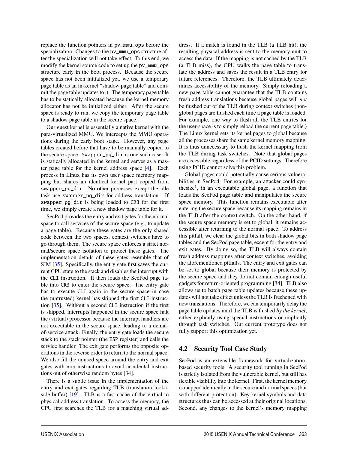replace the function pointers in pv\_mmu\_ops before the specialization. Changes to the pv\_mmu\_ops structure after the specialization will not take effect. To this end, we modify the kernel source code to set up the pv\_mmu\_ops structure early in the boot process. Because the secure space has not been initialized yet, we use a temporary page table as an in-kernel "shadow page table" and commit the page table updates to it. The temporary page table has to be statically allocated because the kernel memory allocator has not be initialized either. After the secure space is ready to run, we copy the temporary page table to a shadow page table in the secure space.

Our guest kernel is essentially a native kernel with the para-virtualized MMU. We intercepts the MMU operations during the early boot stage. However, any page tables created before that have to be manually copied to the secure space. Swapper\_pg\_dir is one such case. It is statically allocated in the kernel and serves as a master page table for the kernel address space [4]. Each process in Linux has its own user space memory mapping but shares an identical kernel part copied from swapper\_pg\_dir. No other processes except the idle task use swapper\_pg\_dir for address translation. If swapper\_pg\_dir is being loaded to CR3 for the first time, we simply create a new shadow page table for it.

SecPod provides the entry and exit gates for the normal space to call services of the secure space (e.g., to update a page table). Because these gates are the only shared code between the two spaces, context switches have to go through them. The secure space enforces a strict normal/secure space isolation to protect these gates. The implementation details of these gates resemble that of SIM [35]. Specifically, the entry gate first saves the current CPU state to the stack and disables the interrupt with the CLI instruction. It then loads the SecPod page table into CR3 to enter the secure space. The entry gate has to execute CLI again in the secure space in case the (untrusted) kernel has skipped the first CLI instruction [35]. Without a second CLI instruction if the first is skipped, interrupts happened in the secure space halt the (virtual) processor because the interrupt handlers are not executable in the secure space, leading to a denialof-service attack. Finally, the entry gate loads the secure stack to the stack pointer (the ESP register) and calls the service handler. The exit gate performs the opposite operations in the reverse order to return to the normal space. We also fill the unused space around the entry and exit gates with nop instructions to avoid accidental instructions out of otherwise random bytes [34].

There is a subtle issue in the implementation of the entry and exit gates regarding TLB (translation lookaside buffer) [19]. TLB is a fast cache of the virtual to physical address translation. To access the memory, the CPU first searches the TLB for a matching virtual address. If a match is found in the TLB (a TLB hit), the resulting physical address is sent to the memory unit to access the data. If the mapping is not cached by the TLB (a TLB miss), the CPU walks the page table to translate the address and saves the result in a TLB entry for future references. Therefore, the TLB ultimately determines accessibility of the memory. Simply reloading a new page table cannot guarantee that the TLB contains fresh address translations because global pages will *not* be flushed out of the TLB during context switches (nonglobal pages are flushed each time a page table is loaded. For example, one way to flush all the TLB entries for the user-space is to simply reload the current page table.) The Linux kernel sets its kernel pages to global because all the processes share the same kernel memory mapping. It is thus unnecessary to flush the kernel mapping from the TLB during task switches. Note that global pages are accessible regardless of the PCID settings. Therefore using PCID cannot solve this problem.

Global pages could potentially cause serious vulnerabilities in SecPod. For example, an attacker could synthesize<sup>1</sup>, in an executable global page, a function that loads the SecPod page table and manipulates the secure space memory. This function remains executable after entering the secure space because its mapping remains in the TLB after the context switch. On the other hand, if the secure space memory is set to global, it remains accessible after returning to the normal space. To address this pitfall, we clear the global bits in both shadow page tables and the SecPod page table, except for the entry and exit gates. By doing so, the TLB will always contain fresh address mappings after context switches, avoiding the aforementioned pitfalls. The entry and exit gates can be set to global because their memory is protected by the secure space and they do not contain enough useful gadgets for return-oriented programming [34]. TLB also allows us to batch page table updates because these updates will not take effect unless the TLB is freshened with new translations. Therefore, we can temporarily delay the page table updates until the TLB is flushed *by the kernel*, either explicitly using special instructions or implicitly through task switches. Our current prototype does not fully support this optimization yet.

# **4.2 Security Tool Case Study**

SecPod is an extensible framework for virtualizationbased security tools. A security tool running in SecPod is strictly isolated from the vulnerable kernel, but still has flexible visibility into the kernel. First, the kernel memory is mapped identically in the secure and normal spaces (but with different protection). Key kernel symbols and data structures thus can be accessed at their original locations. Second, any changes to the kernel's memory mapping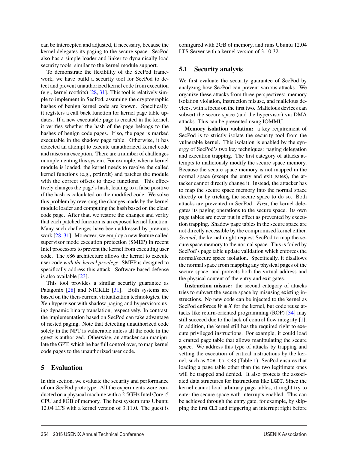can be intercepted and adjusted, if necessary, because the kernel delegates its paging to the secure space. SecPod also has a simple loader and linker to dynamically load security tools, similar to the kernel module support.

To demonstrate the flexibility of the SecPod framework, we have build a security tool for SecPod to detect and prevent unauthorized kernel code from execution (e.g., kernel rootkits) [28, 31]. This tool is relatively simple to implement in SecPod, assuming the cryptographic hashes of benign kernel code are known. Specifically, it registers a call back function for kernel page table updates. If a new executable page is created in the kernel, it verifies whether the hash of the page belongs to the hashes of benign code pages. If so, the page is marked executable in the shadow page table. Otherwise, it has detected an attempt to execute unauthorized kernel code and raises an exception. There are a number of challenges in implementing this system. For example, when a kernel module is loaded, the kernel needs to resolve the called kernel functions (e.g., printk) and patches the module with the correct offsets to these functions. This effectively changes the page's hash, leading to a false positive if the hash is calculated on the modified code. We solve this problem by reversing the changes made by the kernel module loader and computing the hash based on the clean code page. After that, we restore the changes and verify that each patched function is an exposed kernel function. Many such challenges have been addressed by previous work [28, 31]. Moreover, we employ a new feature called supervisor mode execution protection (SMEP) in recent Intel processors to prevent the kernel from executing user code. The x86 architecture allows the kernel to execute user code *with the kernel privilege*. SMEP is designed to specifically address this attack. Software based defense is also available [23].

This tool provides a similar security guarantee as Patagonix [28] and NICKLE [31]. Both systems are based on the then-current virtualization technologies, the Xen hypervisor with shadow paging and hypervisors using dynamic binary translation, respectively. In contrast, the implementation based on SecPod can take advantage of nested paging. Note that detecting unauthorized code solely in the NPT is vulnerable unless all the code in the guest is authorized. Otherwise, an attacker can manipulate the GPT, which he has full control over, to map kernel code pages to the unauthorized user code.

## **5 Evaluation**

In this section, we evaluate the security and performance of our SecPod prototype. All the experiments were conducted on a physical machine with a 2.5GHz Intel Core i5 CPU and 8GB of memory. The host system runs Ubuntu 12.04 LTS with a kernel version of 3.11.0. The guest is configured with 2GB of memory, and runs Ubuntu 12.04 LTS Server with a kernel version of 3.10.32.

## **5.1 Security analysis**

We first evaluate the security guarantee of SecPod by analyzing how SecPod can prevent various attacks. We organize these attacks from three perspectives: memory isolation violation, instruction misuse, and malicious devices, with a focus on the first two. Malicious devices can subvert the secure space (and the hypervisor) via DMA attacks. This can be prevented using IOMMU.

**Memory isolation violation:** a key requirement of SecPod is to strictly isolate the security tool from the vulnerable kernel. This isolation is enabled by the synergy of SecPod's two key techniques: paging delegation and execution trapping. The first category of attacks attempts to maliciously modify the secure space memory. Because the secure space memory is not mapped in the normal space (except the entry and exit gates), the attacker cannot directly change it. Instead, the attacker has to map the secure space memory into the normal space directly or by tricking the secure space to do so. Both attacks are prevented in SecPod. *First*, the kernel delegates its paging operations to the secure space. Its own page tables are never put in effect as prevented by execution trapping. Shadow page tables in the secure space are not directly accessible by the compromised kernel either. *Second*, the kernel might request SecPod to map the secure space memory to the normal space. This is foiled by SecPod's page table update validation which enforces the normal/secure space isolation. Specifically, it disallows the normal space from mapping any physical pages of the secure space, and protects both the virtual address and the physical content of the entry and exit gates.

**Instruction misuse:** the second category of attacks tries to subvert the secure space by misusing existing instructions. No new code can be injected to the kernel as SecPod enforces  $W \oplus X$  for the kernel, but code reuse attacks like return-oriented programming (ROP) [34] may still succeed due to the lack of control flow integrity [1]. In addition, the kernel still has the required right to execute privileged instructions. For example, it could load a crafted page table that allows manipulating the secure space. We address this type of attacks by trapping and vetting the execution of critical instructions by the kernel, such as MOV to CR3 (Table 1). SecPod ensures that loading a page table other than the two legitimate ones will be trapped and denied. It also protects the associated data structures for instructions like LGDT. Since the kernel cannot load arbitrary page tables, it might try to enter the secure space with interrupts enabled. This can be achieved through the entry gate, for example, by skipping the first CLI and triggering an interrupt right before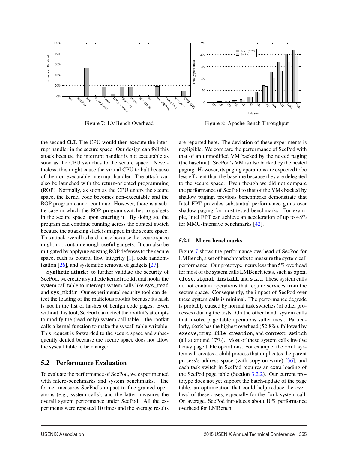

Figure 7: LMBench Overhead

Figure 8: Apache Bench Throughput

the second CLI. The CPU would then execute the interrupt handler in the secure space. Our design can foil this attack because the interrupt handler is not executable as soon as the CPU switches to the secure space. Nevertheless, this might cause the virtual CPU to halt because of the non-executable interrupt handler. The attack can also be launched with the return-oriented programming (ROP). Normally, as soon as the CPU enters the secure space, the kernel code becomes non-executable and the ROP program cannot continue. However, there is a subtle case in which the ROP program switches to gadgets in the secure space upon entering it. By doing so, the program can continue running across the context switch because the attacking stack is mapped in the secure space. This attack overall is hard to use because the secure space might not contain enough useful gadgets. It can also be mitigated by applying existing ROP defenses to the secure space, such as control flow integrity [1], code randomization [26], and systematic removal of gadgets [27].

**Synthetic attack:** to further validate the security of SecPod, we create a synthetic kernel rootkit that hooks the system call table to intercept system calls like sys\_read and sys\_mkdir. Our experimental security tool can detect the loading of the malicious rootkit because its hash is not in the list of hashes of benign code pages. Even without this tool, SecPod can detect the rootkit's attempts to modify the (read-only) system call table – the rootkit calls a kernel function to make the syscall table writable. This request is forwarded to the secure space and subsequently denied because the secure space does not allow the syscall table to be changed.

# **5.2 Performance Evaluation**

To evaluate the performance of SecPod, we experimented with micro-benchmarks and system benchmarks. The former measures SecPod's impact to fine-grained operations (e.g., system calls), and the latter measures the overall system performance under SecPod. All the experiments were repeated 10 times and the average results are reported here. The deviation of these experiments is negligible. We compare the performance of SecPod with that of an unmodified VM backed by the nested paging (the baseline). SecPod's VM is also backed by the nested paging. However, its paging operations are expected to be less efficient than the baseline because they are delegated to the secure space. Even though we did not compare the performance of SecPod to that of the VMs backed by shadow paging, previous benchmarks demonstrate that Intel EPT provides substantial performance gains over shadow paging for most tested benchmarks. For example, Intel EPT can achieve an acceleration of up to 48% for MMU-intensive benchmarks [42].

#### **5.2.1 Micro-benchmarks**

Figure 7 shows the performance overhead of SecPod for LMBench, a set of benchmarks to measure the system call performance. Our prototype incurs less than 5% overhead for most of the system calls LMBench tests, such as open, close, signal\_install, and stat. These system calls do not contain operations that require services from the secure space. Consequently, the impact of SecPod over these system calls is minimal. The performance degrade is probably caused by normal task switches (of other processes) during the tests. On the other hand, system calls that involve page table operations suffer most. Particularly, fork has the highest overhead (52.8%), followed by execve, mmap, file creation, and context switch (all at around 17%). Most of these system calls involve heavy page table operations. For example, the fork system call creates a child process that duplicates the parent process's address space (with copy-on-write) [36], and each task switch in SecPod requires an extra loading of the SecPod page table (Section 3.2.2). Our current prototype does not yet support the batch-update of the page table, an optimization that could help reduce the overhead of these cases, especially for the fork system call. On average, SecPod introduces about 10% performance overhead for LMBench.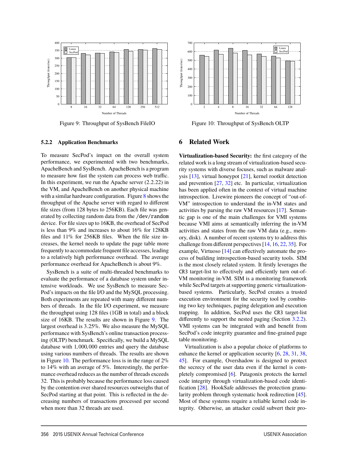

Figure 9: Throughput of SysBench FileIO



Figure 10: Throughput of SysBench OLTP

#### **5.2.2 Application Benchmarks**

To measure SecPod's impact on the overall system performance, we experimented with two benchmarks, ApacheBench and SysBench. ApacheBench is a program to measure how fast the system can process web traffic. In this experiment, we run the Apache server (2.2.22) in the VM, and ApacheBench on another physical machine with a similar hardware configuration. Figure 8 shows the throughput of the Apache server with regard to different file sizes (from 128 bytes to 256KB). Each file was generated by collecting random data from the /dev/random device. For file sizes up to 16KB, the overhead of SecPod is less than 9% and increases to about 16% for 128KB files and 11% for 256KB files. When the file size increases, the kernel needs to update the page table more frequently to accommodate frequent file accesses, leading to a relatively high performance overhead. The average performance overhead for ApacheBench is about 9%.

SysBench is a suite of multi-threaded benchmarks to evaluate the performance of a database system under intensive workloads. We use SysBench to measure Sec-Pod's impacts on the file I/O and the MySQL processing. Both experiments are repeated with many different numbers of threads. In the file I/O experiment, we measure the throughput using 128 files (1GB in total) and a block size of 16KB. The results are shown in Figure 9. The largest overhead is 3.25%. We also measure the MySQL performance with SysBench's online transaction processing (OLTP) benchmark. Specifically, we build a MySQL database with 1,000,000 entries and query the database using various numbers of threads. The results are shown in Figure 10. The performance loss is in the range of  $2\%$ to 14% with an average of 5%. Interestingly, the performance overhead reduces as the number of threads exceeds 32. This is probably because the performance loss caused by the contention over shared resources outweighs that of SecPod starting at that point. This is reflected in the decreasing numbers of transactions processed per second when more than 32 threads are used.

#### **6 Related Work**

**Virtualization-based Security:** the first category of the related work is a long stream of virtualization-based security systems with diverse focuses, such as malware analysis [13], virtual honeypot [21], kernel rootkit detection and prevention [27, 32] etc. In particular, virtualization has been applied often in the context of virtual machine introspection. Livewire pioneers the concept of "out-of-VM" introspection to understand the in-VM states and activities by parsing the raw VM resources [17]. Semantic gap is one of the main challenges for VMI systems because VMI aims at semantically inferring the in-VM activities and states from the raw VM data (e.g., memory, disk). A number of recent systems try to address this challenge from different perspectives [14, 16, 22, 35]. For example, Virtuoso [14] can effectively automate the process of building introspection-based security tools. SIM is the most closely related system. It firstly leverages the CR3 target-list to effectively and efficiently turn out-of-VM monitoring in-VM. SIM is a monitoring framework while SecPod targets at supporting generic virtualizationbased systems. Particularly, SecPod creates a trusted execution environment for the security tool by combining two key techniques, paging delegation and execution trapping. In addition, SecPod uses the CR3 target-list differently to support the nested paging (Section 3.2.2). VMI systems can be integrated with and benefit from SecPod's code integrity guarantee and fine-grained page table monitoring.

Virtualization is also a popular choice of platforms to enhance the kernel or application security [6, 28, 31, 38, 45]. For example, Overshadow is designed to protect the secrecy of the user data even if the kernel is completely compromised [6]. Patagonix protects the kernel code integrity through virtualization-based code identification [28]. HookSafe addresses the protection granularity problem through systematic hook redirection [45]. Most of these systems require a reliable kernel code integrity. Otherwise, an attacker could subvert their pro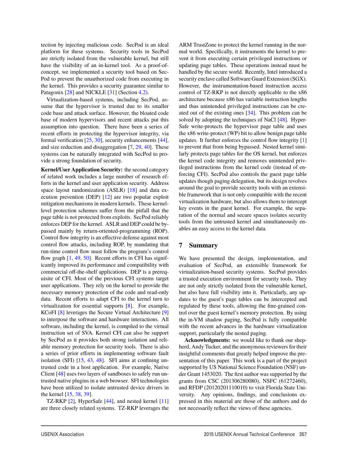tection by injecting malicious code. SecPod is an ideal platform for these systems. Security tools in SecPod are strictly isolated from the vulnerable kernel, but still have the visibility of an in-kernel tool. As a proof-ofconcept, we implemented a security tool based on Sec-Pod to prevent the unauthorized code from executing in the kernel. This provides a security guarantee similar to Patagonix [28] and NICKLE [31] (Section 4.2).

Virtualization-based systems, including SecPod, assume that the hypervisor is trusted due to its smaller code base and attack surface. However, the bloated code base of modern hypervisors and recent attacks put this assumption into question. There have been a series of recent efforts in protecting the hypervisor integrity, via formal verification [25, 30], security enhancements [44], and size reduction and disaggregation [7, 29, 40]. These systems can be naturally integrated with SecPod to provide a strong foundation of security.

**Kernel/User Application Security:** the second category of related work includes a large number of research efforts in the kernel and user application security. Address space layout randomization (ASLR) [18] and data execution prevention (DEP) [12] are two popular exploit mitigation mechanisms in modern kernels. These kernellevel protection schemes suffer from the pitfall that the page table is not protected from exploits. SecPod reliably enforces DEP for the kernel. ASLR and DEP could be bypassed mainly by return-oriented-programming (ROP). Control flow integrity is an effective defense against most control flow attacks, including ROP, by mandating that run-time control flow must follow the program's control flow graph  $[1, 49, 50]$ . Recent efforts in CFI has significantly improved its performance and compatibility with commercial off-the-shelf applications. DEP is a prerequisite of CFI. Most of the previous CFI systems target user applications. They rely on the kernel to provide the necessary memory protection of the code and read-only data. Recent efforts to adapt CFI to the kernel turn to virtualization for essential supports [8]. For example, KCoFI [8] leverages the Secure Virtual Architecture [9] to interpose the software and hardware interactions. All software, including the kernel, is compiled to the virtual instruction set of SVA. Kernel CFI can also be support by SecPod as it provides both strong isolation and reliable memory protection for security tools. There is also a series of prior efforts in implementing software fault isolation (SFI) [15, 43, 48]. SFI aims at confining untrusted code in a host application. For example, Native Client [48] uses two layers of sandboxes to safely run untrusted native plugins in a web browser. SFI technologies have been utilized to isolate untrusted device drivers in the kernel [15, 38, 39].

TZ-RKP [2], HyperSafe [44], and nested kernel [11] are three closely related systems. TZ-RKP leverages the ARM TrustZone to protect the kernel running in the normal world. Specifically, it instruments the kernel to prevent it from executing certain privileged instructions or updating page tables. These operations instead must be handled by the secure world. Recently, Intel introduced a security enclave called Software Guard Extension (SGX). However, the instrumentation-based instruction access control of TZ-RKP is not directly applicable to the x86 architecture because x86 has variable instruction lengths and thus unintended privileged instructions can be created out of the existing ones [34]. This problem can be solved by adopting the techniques of NaCl [48]. Hyper-Safe write-protects the hypervisor page table and uses the x86 write-protect (WP) bit to allow benign page table updates. It further enforces the control flow integrity [1] to prevent that from being bypassed. Nested kernel similarly protects page tables for the OS kernel, but enforces the kernel code integrity and removes unintended privileged instructions from the kernel code (instead of enforcing CFI). SecPod also controls the guest page table updates though paging delegation, but its design revolves around the goal to provide security tools with an extensible framework that is not only compatible with the recent virtualization hardware, but also allows them to intercept key events in the guest kernel. For example, the separation of the normal and secure spaces isolates security tools from the untrusted kernel and simultaneously enables an easy access to the kernel data.

#### **7 Summary**

We have presented the design, implementation, and evaluation of SecPod, an extensible framework for virtualization-based security systems. SecPod provides a trusted execution environment for security tools. They are not only strictly isolated from the vulnerable kernel, but also have full visibility into it. Particularly, any updates to the guest's page tables can be intercepted and regulated by these tools, allowing the fine-grained control over the guest kernel's memory protection. By using the in-VM shadow paging, SecPod is fully compatible with the recent advances in the hardware virtualization support, particularly the nested paging.

**Acknowledgments:** we would like to thank our shepherd, Andy Tucker, and the anonymous reviewers for their insightful comments that greatly helped improve the presentation of this paper. This work is a part of the project supported by US National Science Foundation (NSF) under Grant 1453020. The first author was supported by the grants from CSC (201306280080), NSFC (61272460), and RFDP (20120201110010) to visit Florida State University. Any opinions, findings, and conclusions expressed in this material are those of the authors and do not necessarily reflect the views of these agencies.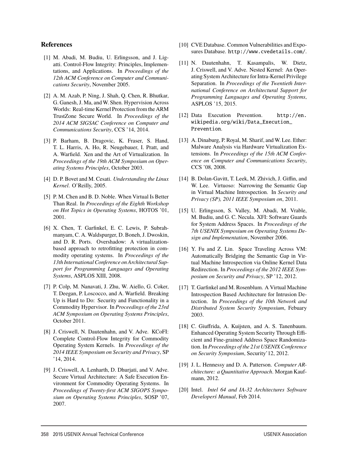#### **References**

- [1] M. Abadi, M. Budiu, U. Erlingsson, and J. Ligatti. Control-Flow Integrity: Principles, Implementations, and Applications. In *Proceedings of the 12th ACM Conference on Computer and Communications Security*, November 2005.
- [2] A. M. Azab, P. Ning, J. Shah, Q. Chen, R. Bhutkar, G. Ganesh, J. Ma, and W. Shen. Hypervision Across Worlds: Real-time Kernel Protection from the ARM TrustZone Secure World. In *Proceedings of the 2014 ACM SIGSAC Conference on Computer and Communications Security*, CCS '14, 2014.
- [3] P. Barham, B. Dragovic, K. Fraser, S. Hand, T. L. Harris, A. Ho, R. Neugebauer, I. Pratt, and A. Warfield. Xen and the Art of Virtualization. In *Proceedings of the 19th ACM Symposium on Operating Systems Principles*, October 2003.
- [4] D. P. Bovet and M. Cesati. *Understanding the Linux Kernel*. O'Reilly, 2005.
- [5] P. M. Chen and B. D. Noble. When Virtual Is Better Than Real. In *Proceedings of the Eighth Workshop on Hot Topics in Operating Systems*, HOTOS '01, 2001.
- [6] X. Chen, T. Garfinkel, E. C. Lewis, P. Subrahmanyam, C. A. Waldspurger, D. Boneh, J. Dwoskin, and D. R. Ports. Overshadow: A virtualizationbased approach to retrofitting protection in commodity operating systems. In *Proceedings of the 13th International Conference on Architectural Support for Programming Languages and Operating Systems*, ASPLOS XIII, 2008.
- [7] P. Colp, M. Nanavati, J. Zhu, W. Aiello, G. Coker, T. Deegan, P. Loscocco, and A. Warfield. Breaking Up is Hard to Do: Security and Functionality in a Commodity Hypervisor. In *Proceedings of the 23rd ACM Symposium on Operating Systems Principles*, October 2011.
- [8] J. Criswell, N. Dautenhahn, and V. Adve. KCoFI: Complete Control-Flow Integrity for Commodity Operating System Kernels. In *Proceedings of the 2014 IEEE Symposium on Security and Privacy*, SP '14, 2014.
- [9] J. Criswell, A. Lenharth, D. Dhurjati, and V. Adve. Secure Virtual Architecture: A Safe Execution Environment for Commodity Operating Systems. In *Proceedings of Twenty-first ACM SIGOPS Symposium on Operating Systems Principles*, SOSP '07, 2007.
- [10] CVE Database. Common Vulnerabilities and Exposures Database. http://www.cvedetails.com/.
- [11] N. Dautenhahn, T. Kasampalis, W. Dietz, J. Criswell, and V. Adve. Nested Kernel: An Operating System Architecture for Intra-Kernel Privilege Separation. In *Proceedings of the Twentieth International Conference on Architectural Support for Programming Languages and Operating Systems*, ASPLOS '15, 2015.
- [12] Data Execution Prevention. http://en. wikipedia.org/wiki/Data\_Execution\_ Prevention.
- [13] A. Dinaburg, P. Royal, M. Sharif, and W. Lee. Ether: Malware Analysis via Hardware Virtualization Extensions. In *Proceedings of the 15th ACM Conference on Computer and Communications Security*, CCS '08, 2008.
- [14] B. Dolan-Gavitt, T. Leek, M. Zhivich, J. Giffin, and W. Lee. Virtuoso: Narrowing the Semantic Gap in Virtual Machine Introspection. In *Security and Privacy (SP), 2011 IEEE Symposium on*, 2011.
- [15] U. Erlingsson, S. Valley, M. Abadi, M. Vrable, M. Budiu, and G. C. Necula. XFI: Software Guards for System Address Spaces. In *Proceedings of the 7th USENIX Symposium on Operating Systems Design and Implementation*, November 2006.
- [16] Y. Fu and Z. Lin. Space Traveling Across VM: Automatically Bridging the Semantic Gap in Virtual Machine Introspection via Online Kernel Data Redirection. In *Proceedings of the 2012 IEEE Symposium on Security and Privacy*, SP '12, 2012.
- [17] T. Garfinkel and M. Rosenblum. A Virtual Machine Introspection Based Architecture for Intrusion Detection. In *Proceedings of the 10th Network and Distributed System Security Symposium*, Febuary 2003.
- [18] C. Giuffrida, A. Kuijsten, and A. S. Tanenbaum. Enhanced Operating System Security Through Efficient and Fine-grained Address Space Randomization. In *Proceedings of the 21st USENIX Conference on Security Symposium*, Security'12, 2012.
- [19] J. L. Hennessy and D. A. Patterson. *Computer ARchitecture: a Quantitative Approach*. Morgan Kaufmann, 2012.
- [20] Intel. *Intel 64 and IA-32 Architectures Software Developerś Manual*, Feb 2014.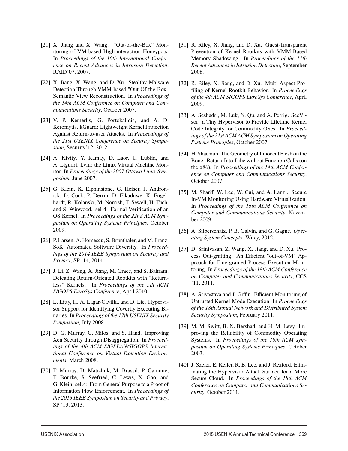- [21] X. Jiang and X. Wang. "Out-of-the-Box" Monitoring of VM-based High-interaction Honeypots. In *Proceedings of the 10th International Conference on Recent Advances in Intrusion Detection*, RAID'07, 2007.
- [22] X. Jiang, X. Wang, and D. Xu. Stealthy Malware Detection Through VMM-based "Out-Of-the-Box" Semantic View Reconstruction. In *Proceedings of the 14th ACM Conference on Computer and Communications Security*, October 2007.
- [23] V. P. Kemerlis, G. Portokalidis, and A. D. Keromytis. kGuard: Lightweight Kernel Protection Against Return-to-user Attacks. In *Proceedings of the 21st USENIX Conference on Security Symposium*, Security'12, 2012.
- [24] A. Kivity, Y. Kamay, D. Laor, U. Lublin, and A. Liguori. kvm: the Linux Virtual Machine Monitor. In *Proceedings of the 2007 Ottawa Linux Symposium*, June 2007.
- [25] G. Klein, K. Elphinstone, G. Heiser, J. Andronick, D. Cock, P. Derrin, D. Elkaduwe, K. Engelhardt, R. Kolanski, M. Norrish, T. Sewell, H. Tuch, and S. Winwood. seL4: Formal Verification of an OS Kernel. In *Proceedings of the 22nd ACM Symposium on Operating Systems Principles*, October 2009.
- [26] P. Larsen, A. Homescu, S. Brunthaler, and M. Franz. SoK: Automated Software Diversity. In *Proceedings of the 2014 IEEE Symposium on Security and Privacy*, SP '14, 2014.
- [27] J. Li, Z. Wang, X. Jiang, M. Grace, and S. Bahram. Defeating Return-Oriented Rootkits with "Returnless" Kernels. In *Proceedings of the 5th ACM SIGOPS EuroSys Conference*, April 2010.
- [28] L. Litty, H. A. Lagar-Cavilla, and D. Lie. Hypervisor Support for Identifying Covertly Executing Binaries. In *Proceedings of the 17th USENIX Security Symposium*, July 2008.
- [29] D. G. Murray, G. Milos, and S. Hand. Improving Xen Security through Disaggregation. In *Proceedings of the 4th ACM SIGPLAN/SIGOPS International Conference on Virtual Execution Environments*, March 2008.
- [30] T. Murray, D. Matichuk, M. Brassil, P. Gammie, T. Bourke, S. Seefried, C. Lewis, X. Gao, and G. Klein. seL4: From General Purpose to a Proof of Information Flow Enforcement. In *Proceedings of the 2013 IEEE Symposium on Security and Privacy*, SP '13, 2013.
- [31] R. Riley, X. Jiang, and D. Xu. Guest-Transparent Prevention of Kernel Rootkits with VMM-Based Memory Shadowing. In *Proceedings of the 11th Recent Advances in Intrusion Detection*, September 2008.
- [32] R. Riley, X. Jiang, and D. Xu. Multi-Aspect Profiling of Kernel Rootkit Behavior. In *Proceedings of the 4th ACM SIGOPS EuroSys Conference*, April 2009.
- [33] A. Seshadri, M. Luk, N. Qu, and A. Perrig. SecVisor: a Tiny Hypervisor to Provide Lifetime Kernel Code Integrity for Commodity OSes. In *Proceedings of the 21st ACM ACM Symposium on Operating Systems Principles*, October 2007.
- [34] H. Shacham. The Geometry of Innocent Flesh on the Bone: Return-Into-Libc without Function Calls (on the x86). In *Proceedings of the 14th ACM Conference on Computer and Communications Security*, October 2007.
- [35] M. Sharif, W. Lee, W. Cui, and A. Lanzi. Secure In-VM Monitoring Using Hardware Virtualization. In *Proceedings of the 16th ACM Conference on Computer and Communications Security*, November 2009.
- [36] A. Silberschatz, P. B. Galvin, and G. Gagne. *Operating System Concepts*. Wiley, 2012.
- [37] D. Srinivasan, Z. Wang, X. Jiang, and D. Xu. Process Out-grafting: An Efficient "out-of-VM" Approach for Fine-grained Process Execution Monitoring. In *Proceedings of the 18th ACM Conference on Computer and Communications Security*, CCS '11, 2011.
- [38] A. Srivastava and J. Giffin. Efficient Monitoring of Untrusted Kernel-Mode Execution. In *Proceedings of the 18th Annual Network and Distributed System Security Symposium*, February 2011.
- [39] M. M. Swift, B. N. Bershad, and H. M. Levy. Improving the Reliability of Commodity Operating Systems. In *Proceedings of the 19th ACM symposium on Operating Systems Principles*, October 2003.
- [40] J. Szefer, E. Keller, R. B. Lee, and J. Rexford. Eliminating the Hypervisor Attack Surface for a More Secure Cloud. In *Proceedings of the 18th ACM Conference on Computer and Communications Security*, October 2011.